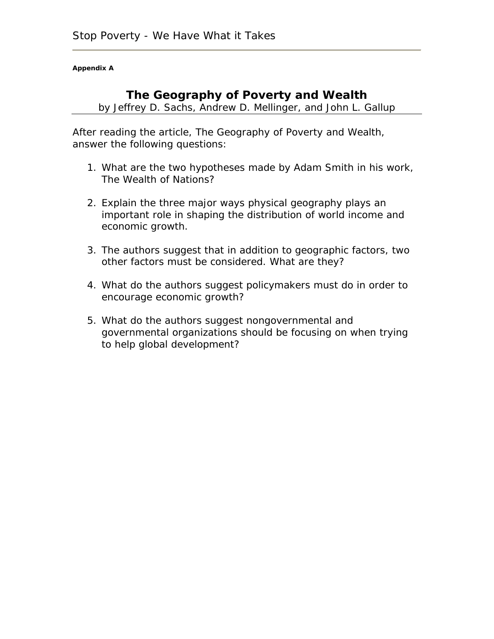**Appendix A** 

## **The Geography of Poverty and Wealth**

by Jeffrey D. Sachs, Andrew D. Mellinger, and John L. Gallup

After reading the article, *The Geography of Poverty and Wealth*, answer the following questions:

- 1. What are the two hypotheses made by Adam Smith in his work, *The Wealth of Nations*?
- 2. Explain the three major ways physical geography plays an important role in shaping the distribution of world income and economic growth.
- 3. The authors suggest that in addition to geographic factors, two other factors must be considered. What are they?
- 4. What do the authors suggest policymakers must do in order to encourage economic growth?
- 5. What do the authors suggest nongovernmental and governmental organizations should be focusing on when trying to help global development?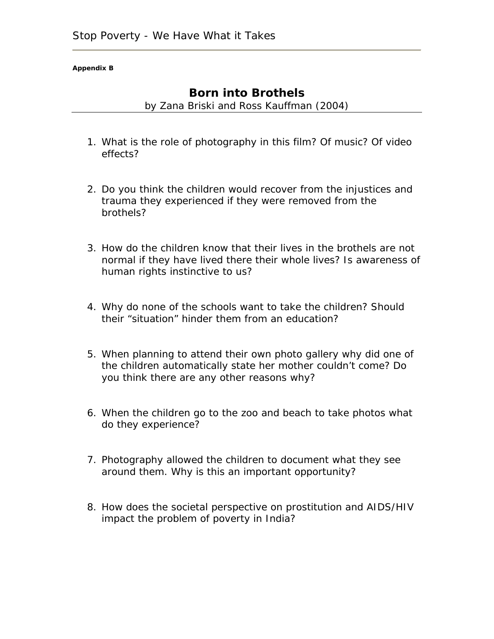#### **Appendix B**

### **Born into Brothels**

by Zana Briski and Ross Kauffman (2004)

- 1. What is the role of photography in this film? Of music? Of video effects?
- 2. Do you think the children would recover from the injustices and trauma they experienced if they were removed from the brothels?
- 3. How do the children know that their lives in the brothels are not normal if they have lived there their whole lives? Is awareness of human rights instinctive to us?
- 4. Why do none of the schools want to take the children? Should their "situation" hinder them from an education?
- 5. When planning to attend their own photo gallery why did one of the children automatically state her mother couldn't come? Do you think there are any other reasons why?
- 6. When the children go to the zoo and beach to take photos what do they experience?
- 7. Photography allowed the children to document what they see around them. Why is this an important opportunity?
- 8. How does the societal perspective on prostitution and AIDS/HIV impact the problem of poverty in India?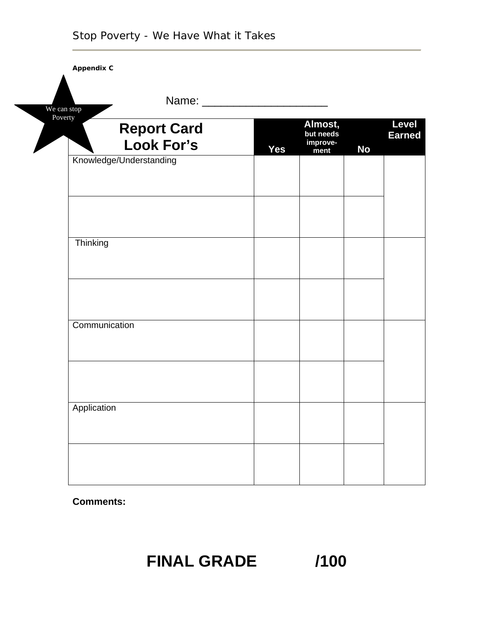| <b>Appendix C</b><br>We can stop | Name: __                         |            |                                          |           |                        |
|----------------------------------|----------------------------------|------------|------------------------------------------|-----------|------------------------|
| Poverty                          | <b>Report Card</b><br>Look For's | <b>Yes</b> | Almost,<br>but needs<br>improve-<br>ment | <b>No</b> | Level<br><b>Earned</b> |
|                                  | Knowledge/Understanding          |            |                                          |           |                        |
|                                  |                                  |            |                                          |           |                        |
| Thinking                         |                                  |            |                                          |           |                        |
|                                  |                                  |            |                                          |           |                        |
|                                  | Communication                    |            |                                          |           |                        |
|                                  |                                  |            |                                          |           |                        |
| Application                      |                                  |            |                                          |           |                        |
|                                  |                                  |            |                                          |           |                        |

**Comments:** 

# **FINAL GRADE /100**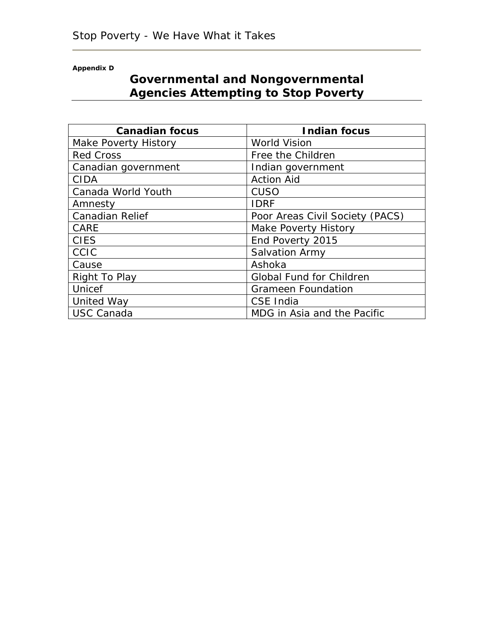**Appendix D** 

# **Governmental and Nongovernmental Agencies Attempting to Stop Poverty**

| <b>Canadian focus</b>  | <b>Indian focus</b>             |  |  |
|------------------------|---------------------------------|--|--|
| Make Poverty History   | <b>World Vision</b>             |  |  |
| <b>Red Cross</b>       | Free the Children               |  |  |
| Canadian government    | Indian government               |  |  |
| <b>CIDA</b>            | <b>Action Aid</b>               |  |  |
| Canada World Youth     | CUSO                            |  |  |
| Amnesty                | <b>IDRF</b>                     |  |  |
| <b>Canadian Relief</b> | Poor Areas Civil Society (PACS) |  |  |
| <b>CARE</b>            | <b>Make Poverty History</b>     |  |  |
| <b>CIES</b>            | End Poverty 2015                |  |  |
| CCIC                   | Salvation Army                  |  |  |
| Cause                  | Ashoka                          |  |  |
| Right To Play          | <b>Global Fund for Children</b> |  |  |
| Unicef                 | <b>Grameen Foundation</b>       |  |  |
| United Way             | CSE India                       |  |  |
| <b>USC Canada</b>      | MDG in Asia and the Pacific     |  |  |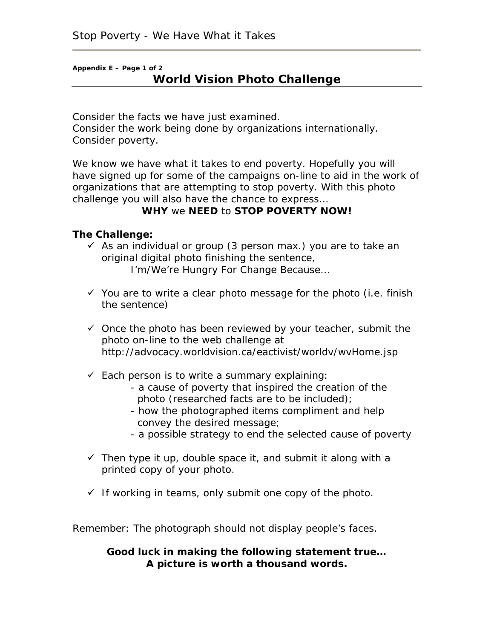## **Appendix E – Page 1 of 2 World Vision Photo Challenge**

Consider the facts we have just examined. Consider the work being done by organizations internationally. Consider poverty.

We know we have what it takes to end poverty. Hopefully you will have signed up for some of the campaigns on-line to aid in the work of organizations that are attempting to stop poverty. With this photo challenge you will also have the chance to express…

#### **WHY** we **NEED** to **STOP POVERTY NOW!**

#### **The Challenge:**

- $\checkmark$  As an individual or group (3 person max.) you are to take an original digital photo finishing the sentence,  *I'm/We're Hungry For Change Because…*
- $\checkmark$  You are to write a clear photo message for the photo (i.e. finish the sentence)
- $\checkmark$  Once the photo has been reviewed by your teacher, submit the photo on-line to the web challenge at http://advocacy.worldvision.ca/eactivist/worldv/wvHome.jsp
- $\checkmark$  *Each person* is to write a summary explaining:
	- a cause of poverty that inspired the creation of the photo (researched facts are to be included);
	- how the photographed items compliment and help convey the desired message;
	- a possible strategy to end the selected cause of poverty
- $\checkmark$  Then type it up, double space it, and submit it along with a printed copy of your photo.
- $\checkmark$  If working in teams, only submit one copy of the photo.

Remember: The photograph should not display people's faces.

**Good luck in making the following statement true…**  *A picture is worth a thousand words.*